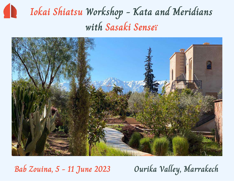# **Iokai Shiatsu Workshop - Kata and Meridians with Sasaki Senseï**



**Bab Zouina, 5 - 11 June 2023 Ourika Valley, Marrakech**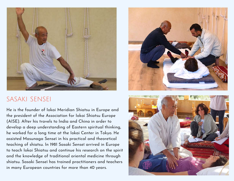

### sasaki sensei

He is the founder of Iokai Meridian Shiatsu in Europe and the president of the Association for Iokai Shiatsu Europe (AISE). After his travels to India and China in order to develop a deep understanding of Eastern spiritual thinking, he worked for a long time at the Iokai Center in Tokyo. He assisted Masunaga Senseï in his practical and theoretical teaching of shiatsu. In 1981 Sasaki Senseï arrived in Europe to teach Iokai Shiatsu and continue his research on the spirit and the knowledge of traditional oriental medicine through shiatsu. Sasaki Senseï has trained practitioners and teachers in many European countries for more than 40 years.



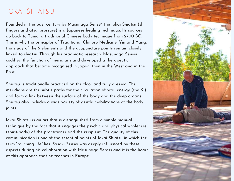### IOKAI SHIATSU

Founded in the past century by Masunaga Senseï, the Iokai Shiatsu (shi: fingers and atsu: pressure) is a Japanese healing technique. Its sources go back to Tuina, a traditional Chinese body technique from 2700 BC. This is why the principles of Traditional Chinese Medicine, Yin and Yang, the study of the 5 elements and the acupuncture points remain closely linked to shiatsu. Through his pragmatic research, Masunaga Senseï codified the function of meridians and developed a therapeutic approach that became recognised in Japan, then in the West and in the East.

Shiatsu is traditionally practiced on the floor and fully dressed. The meridians are the subtle paths for the circulation of vital energy (the Ki) and form a link between the surface of the body and the deep organs. Shiatsu also includes a wide variety of gentle mobilizations of the body joints.

Iokai Shiatsu is an art that is distinguished from a simple manual technique by the fact that it engages the psychic and physical wholeness (spirit-body) of the practitioner and the recipient. The quality of this communication is one of the essential points of Iokai Shiatsu in which the term "touching life" lies. Sasaki Senseï was deeply influenced by these aspects during his collaboration with Masunaga Senseï and it is the heart of this approach that he teaches in Europe.

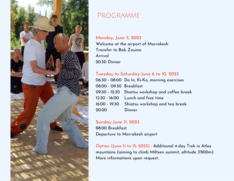

### PROGRAMME

#### **Monday, June 5, 2023**

Welcome at the airport of Marrakesh Transfer to Bab Zouina Arrival 20:30 Dinner

#### **Tuesday to Saturday June 6 to 10, 2023**

06:30 - 08:00 Do In, Ki-Ko, morning exercises 08:00 - 09:30 Breakfast 09:30 - 12:30 Shiatsu workshop and coffee break 13:30 - 16:00 Lunch and free time 16:00 - 19:30 Shiatsu workshop and tea break 20:00 Dinner

#### **Sunday June 11, 2023 0**8:00 Breakfast Departure to Marrakesh airport

**Option (June 11 to 15, 2023) :** Additional 4-day Trek in Atlas mountains (aiming to climb Miltsen summit, altitude 3'800m). More informations upon request.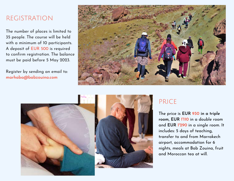### registration

The number of places is limited to 35 people. The course will be held with a minimum of 10 participants. A deposit of EUR 500 is required to confirm registration. The balance must be paid before 5 May 2023.

Register by sending an email to: **marhaba@babzouina.com**







## PRICE

The price is **EUR 930 in a triple room, EUR 1'110** in a double room and **EUR 1'290** in a single room. It includes: 5 days of teaching, transfer to and from Marrakech airport, accommodation for 6 nights, meals at Bab Zouina, fruit and Moroccan tea at will.